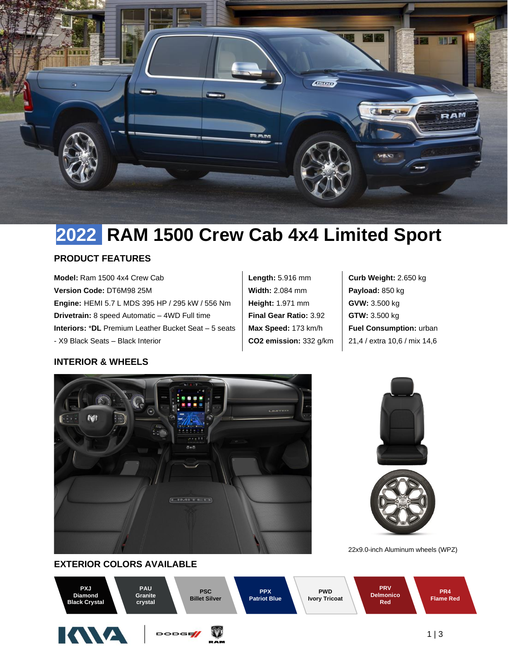

# **2022 RAM 1500 Crew Cab 4x4 Limited Sport**

### **PRODUCT FEATURES**

**Model:** Ram 1500 4x4 Crew Cab **Version Code:** DT6M98 25M **Engine:** HEMI 5.7 L MDS 395 HP / 295 kW / 556 Nm **Drivetrain:** 8 speed Automatic – 4WD Full time **Interiors:** \***DL** Premium Leather Bucket Seat – 5 seats - X9 Black Seats – Black Interior

**Length:** 5.916 mm **Width:** 2.084 mm **Height:** 1.971 mm **Final Gear Ratio:** 3.92 **Max Speed:** 173 km/h **CO2 emission:** 332 g/km **Curb Weight:** 2.650 kg **Payload:** 850 kg **GVW:** 3.500 kg **GTW:** 3.500 kg **Fuel Consumption:** urban 21,4 / extra 10,6 / mix 14,6

# **INTERIOR & WHEELS**







22x9.0-inch Aluminum wheels (WPZ)

# **EXTERIOR COLORS AVAILABLE**

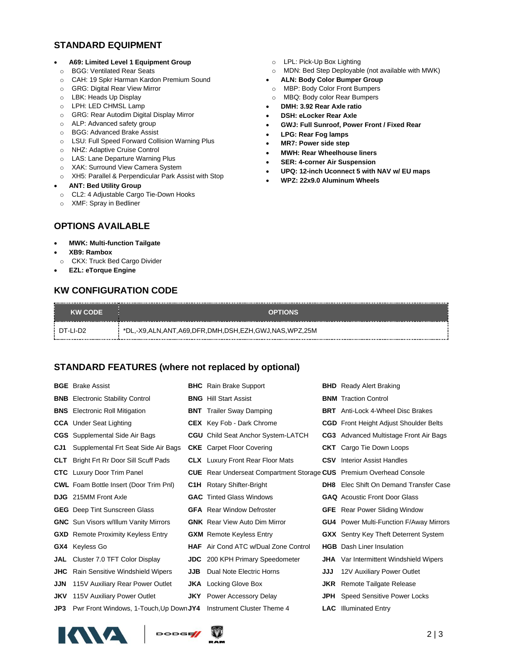# **STANDARD EQUIPMENT**

- **A69: Limited Level 1 Equipment Group**
- o BGG: Ventilated Rear Seats
- o CAH: 19 Spkr Harman Kardon Premium Sound
- o GRG: Digital Rear View Mirror
- o LBK: Heads Up Display
- o LPH: LED CHMSL Lamp
- o GRG: Rear Autodim Digital Display Mirror
- o ALP: Advanced safety group
- o BGG: Advanced Brake Assist
- o LSU: Full Speed Forward Collision Warning Plus
- o NHZ: Adaptive Cruise Control
- o LAS: Lane Departure Warning Plus
- o XAK: Surround View Camera System
- o XH5: Parallel & Perpendicular Park Assist with Stop
- **ANT: Bed Utility Group**
- o CL2: 4 Adjustable Cargo Tie-Down Hooks
- o XMF: Spray in Bedliner

# **OPTIONS AVAILABLE**

#### • **MWK: Multi-function Tailgate**

- **XB9: Rambox**
- o CKX: Truck Bed Cargo Divider
- **EZL: eTorque Engine**

### **KW CONFIGURATION CODE**

- o LPL: Pick-Up Box Lighting
- o MDN: Bed Step Deployable (not available with MWK)
- **ALN: Body Color Bumper Group**
- o MBP: Body Color Front Bumpers
- o MBQ: Body color Rear Bumpers
- **DMH: 3.92 Rear Axle ratio**
- **DSH: eLocker Rear Axle**
- **GWJ: Full Sunroof, Power Front / Fixed Rear**
- **LPG: Rear Fog lamps**
- **MR7: Power side step**
- **MWH: Rear Wheelhouse liners**
- **SER: 4-corner Air Suspension**
- **UPQ: 12-inch Uconnect 5 with NAV w/ EU maps**
- **WPZ: 22x9.0 Aluminum Wheels**

| <b>KW CODE</b> | <b>OPTIONS</b>                                      |
|----------------|-----------------------------------------------------|
| : DT-LI-D2     | *DL,-X9,ALN,ANT,A69,DFR,DMH,DSH,EZH,GWJ,NAS,WPZ,25M |

# **STANDARD FEATURES (where not replaced by optional)**

|            | <b>BGE</b> Brake Assist                                            |            | <b>BHC</b> Rain Brake Support                                              |     | <b>BHD</b> Ready Alert Braking                 |
|------------|--------------------------------------------------------------------|------------|----------------------------------------------------------------------------|-----|------------------------------------------------|
|            | <b>BNB</b> Electronic Stability Control                            |            | <b>BNG</b> Hill Start Assist                                               |     | <b>BNM</b> Traction Control                    |
|            | <b>BNS</b> Electronic Roll Mitigation                              |            | <b>BNT</b> Trailer Sway Damping                                            |     | <b>BRT</b> Anti-Lock 4-Wheel Disc Brakes       |
|            | <b>CCA</b> Under Seat Lighting                                     |            | <b>CEX</b> Key Fob - Dark Chrome                                           |     | <b>CGD</b> Front Height Adjust Shoulder Belts  |
|            | <b>CGS</b> Supplemental Side Air Bags                              |            | <b>CGU</b> Child Seat Anchor System-LATCH                                  |     | CG3 Advanced Multistage Front Air Bags         |
| CJ1        | Supplemental Frt Seat Side Air Bags                                |            | <b>CKE</b> Carpet Floor Covering                                           |     | <b>CKT</b> Cargo Tie Down Loops                |
| <b>CLT</b> | Bright Frt Rr Door Sill Scuff Pads                                 |            | <b>CLX</b> Luxury Front Rear Floor Mats                                    |     | <b>CSV</b> Interior Assist Handles             |
|            | <b>CTC</b> Luxury Door Trim Panel                                  |            | <b>CUE</b> Rear Underseat Compartment Storage CUS Premium Overhead Console |     |                                                |
|            | <b>CWL</b> Foam Bottle Insert (Door Trim PnI)                      |            | <b>C1H</b> Rotary Shifter-Bright                                           | DH8 | Elec Shift On Demand Transfer Case             |
| <b>DJG</b> | 215MM Front Axle                                                   |            | <b>GAC</b> Tinted Glass Windows                                            |     | <b>GAQ</b> Acoustic Front Door Glass           |
|            | <b>GEG</b> Deep Tint Sunscreen Glass                               |            | <b>GFA</b> Rear Window Defroster                                           |     | <b>GFE</b> Rear Power Sliding Window           |
|            | <b>GNC</b> Sun Visors w/Illum Vanity Mirrors                       |            | <b>GNK</b> Rear View Auto Dim Mirror                                       |     | <b>GU4</b> Power Multi-Function F/Away Mirrors |
|            | <b>GXD</b> Remote Proximity Keyless Entry                          |            | <b>GXM</b> Remote Keyless Entry                                            |     | <b>GXX</b> Sentry Key Theft Deterrent System   |
|            | <b>GX4</b> Keyless Go                                              |            | <b>HAF</b> Air Cond ATC w/Dual Zone Control                                |     | <b>HGB</b> Dash Liner Insulation               |
| JAL        | Cluster 7.0 TFT Color Display                                      |            | <b>JDC</b> 200 KPH Primary Speedometer                                     |     | <b>JHA</b> Var Intermittent Windshield Wipers  |
| <b>JHC</b> | Rain Sensitive Windshield Wipers                                   | <b>JJB</b> | Dual Note Electric Horns                                                   | JJJ | 12V Auxiliary Power Outlet                     |
| <b>JJN</b> | 115V Auxiliary Rear Power Outlet                                   |            | <b>JKA</b> Locking Glove Box                                               |     | <b>JKR</b> Remote Tailgate Release             |
| JKV        | 115V Auxiliary Power Outlet                                        |            | <b>JKY</b> Power Accessory Delay                                           |     | <b>JPH</b> Speed Sensitive Power Locks         |
| JP3        | Pwr Front Windows, 1-Touch, Up Down JY4 Instrument Cluster Theme 4 |            |                                                                            |     | <b>LAC</b> Illuminated Entry                   |
|            |                                                                    |            |                                                                            |     |                                                |